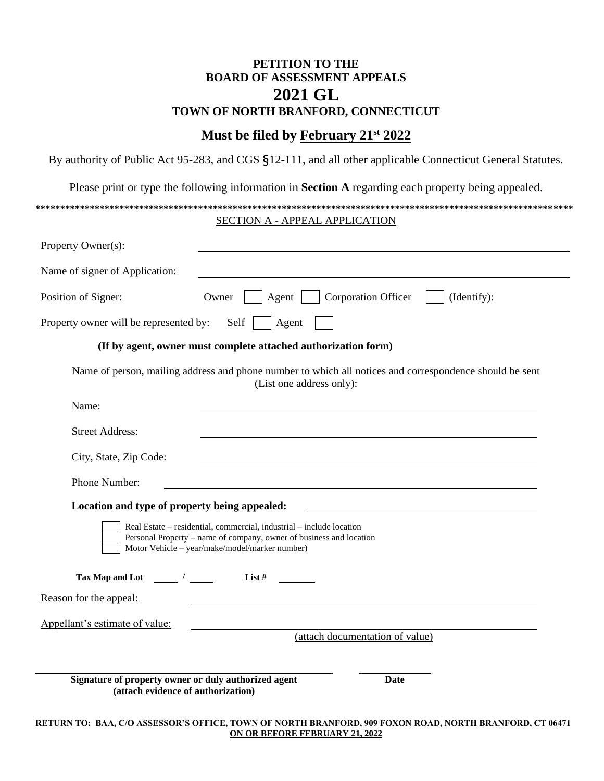### **PETITION TO THE BOARD OF ASSESSMENT APPEALS 2021 GL TOWN OF NORTH BRANFORD, CONNECTICUT**

## **Must be filed by February 21 st 2022**

By authority of Public Act 95-283, and CGS §12-111, and all other applicable Connecticut General Statutes.

Please print or type the following information in **Section A** regarding each property being appealed.

# **\*\*\*\*\*\*\*\*\*\*\*\*\*\*\*\*\*\*\*\*\*\*\*\*\*\*\*\*\*\*\*\*\*\*\*\*\*\*\*\*\*\*\*\*\*\*\*\*\*\*\*\*\*\*\*\*\*\*\*\*\*\*\*\*\*\*\*\*\*\*\*\*\*\*\*\*\*\*\*\*\*\*\*\*\*\*\*\*\*\*\*\*\*\*\*\*\*\*\*\*\*\*\*\*\*\*\*\*\*** SECTION A - APPEAL APPLICATION Property Owner(s): Name of signer of Application: Position of Signer: Owner | Agent | Corporation Officer | (Identify): Property owner will be represented by: Self  $\parallel$  Agent  $\parallel$  **(If by agent, owner must complete attached authorization form)** Name of person, mailing address and phone number to which all notices and correspondence should be sent (List one address only): Name: Street Address: City, State, Zip Code: Phone Number: **Location and type of property being appealed:** Real Estate – residential, commercial, industrial – include location Personal Property – name of company, owner of business and location Motor Vehicle – year/make/model/marker number) **Tax Map and Lot / List #** Reason for the appeal: Appellant's estimate of value: (attach documentation of value) **Signature of property owner or duly authorized agent Date (attach evidence of authorization)**

**RETURN TO: BAA, C/O ASSESSOR'S OFFICE, TOWN OF NORTH BRANFORD, 909 FOXON ROAD, NORTH BRANFORD, CT 06471 ON OR BEFORE FEBRUARY 21, 2022**